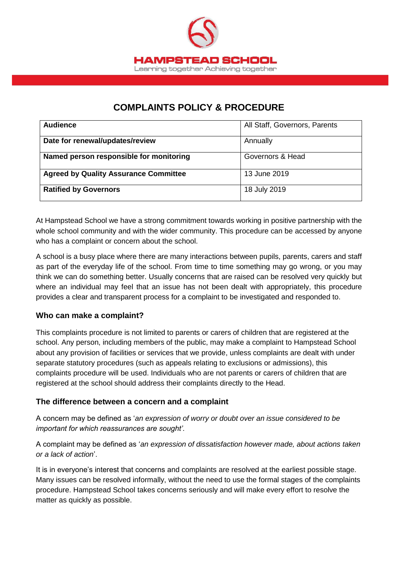

# **COMPLAINTS POLICY & PROCEDURE**

| <b>Audience</b>                              | All Staff, Governors, Parents |
|----------------------------------------------|-------------------------------|
| Date for renewal/updates/review              | Annually                      |
| Named person responsible for monitoring      | Governors & Head              |
| <b>Agreed by Quality Assurance Committee</b> | 13 June 2019                  |
| <b>Ratified by Governors</b>                 | 18 July 2019                  |

At Hampstead School we have a strong commitment towards working in positive partnership with the whole school community and with the wider community. This procedure can be accessed by anyone who has a complaint or concern about the school.

A school is a busy place where there are many interactions between pupils, parents, carers and staff as part of the everyday life of the school. From time to time something may go wrong, or you may think we can do something better. Usually concerns that are raised can be resolved very quickly but where an individual may feel that an issue has not been dealt with appropriately, this procedure provides a clear and transparent process for a complaint to be investigated and responded to.

### **Who can make a complaint?**

This complaints procedure is not limited to parents or carers of children that are registered at the school. Any person, including members of the public, may make a complaint to Hampstead School about any provision of facilities or services that we provide, unless complaints are dealt with under separate statutory procedures (such as appeals relating to exclusions or admissions), this complaints procedure will be used. Individuals who are not parents or carers of children that are registered at the school should address their complaints directly to the Head.

### **The difference between a concern and a complaint**

A concern may be defined as '*an expression of worry or doubt over an issue considered to be important for which reassurances are sought'*.

A complaint may be defined as '*an expression of dissatisfaction however made, about actions taken or a lack of action*'.

It is in everyone's interest that concerns and complaints are resolved at the earliest possible stage. Many issues can be resolved informally, without the need to use the formal stages of the complaints procedure. Hampstead School takes concerns seriously and will make every effort to resolve the matter as quickly as possible.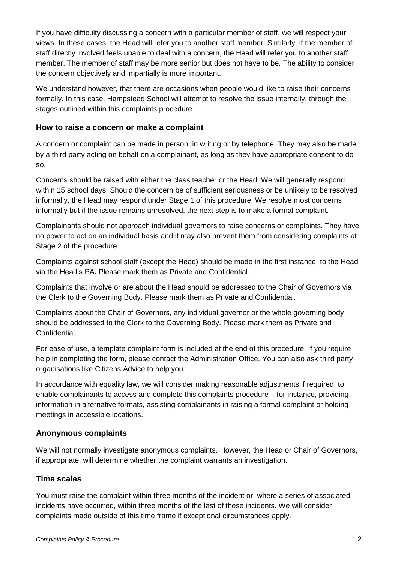If you have difficulty discussing a concern with a particular member of staff, we will respect your views. In these cases, the Head will refer you to another staff member. Similarly, if the member of staff directly involved feels unable to deal with a concern, the Head will refer you to another staff member. The member of staff may be more senior but does not have to be. The ability to consider the concern objectively and impartially is more important.

We understand however, that there are occasions when people would like to raise their concerns formally. In this case, Hampstead School will attempt to resolve the issue internally, through the stages outlined within this complaints procedure.

### **How to raise a concern or make a complaint**

A concern or complaint can be made in person, in writing or by telephone. They may also be made by a third party acting on behalf on a complainant, as long as they have appropriate consent to do so.

Concerns should be raised with either the class teacher or the Head. We will generally respond within 15 school days. Should the concern be of sufficient seriousness or be unlikely to be resolved informally, the Head may respond under Stage 1 of this procedure. We resolve most concerns informally but if the issue remains unresolved, the next step is to make a formal complaint.

Complainants should not approach individual governors to raise concerns or complaints. They have no power to act on an individual basis and it may also prevent them from considering complaints at Stage 2 of the procedure.

Complaints against school staff (except the Head) should be made in the first instance, to the Head via the Head's PA*.* Please mark them as Private and Confidential.

Complaints that involve or are about the Head should be addressed to the Chair of Governors via the Clerk to the Governing Body. Please mark them as Private and Confidential.

Complaints about the Chair of Governors, any individual governor or the whole governing body should be addressed to the Clerk to the Governing Body. Please mark them as Private and Confidential.

For ease of use, a template complaint form is included at the end of this procedure. If you require help in completing the form, please contact the Administration Office. You can also ask third party organisations like Citizens Advice to help you.

In accordance with equality law, we will consider making reasonable adjustments if required, to enable complainants to access and complete this complaints procedure – for instance, providing information in alternative formats, assisting complainants in raising a formal complaint or holding meetings in accessible locations.

### **Anonymous complaints**

We will not normally investigate anonymous complaints. However, the Head or Chair of Governors, if appropriate, will determine whether the complaint warrants an investigation.

### **Time scales**

You must raise the complaint within three months of the incident or, where a series of associated incidents have occurred, within three months of the last of these incidents. We will consider complaints made outside of this time frame if exceptional circumstances apply.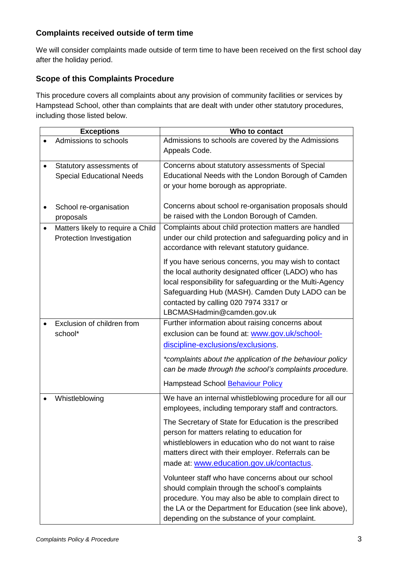### **Complaints received outside of term time**

We will consider complaints made outside of term time to have been received on the first school day after the holiday period.

### **Scope of this Complaints Procedure**

This procedure covers all complaints about any provision of community facilities or services by Hampstead School, other than complaints that are dealt with under other statutory procedures, including those listed below.

| <b>Exceptions</b>                 | Who to contact                                            |
|-----------------------------------|-----------------------------------------------------------|
| Admissions to schools             | Admissions to schools are covered by the Admissions       |
|                                   | Appeals Code.                                             |
| Statutory assessments of          | Concerns about statutory assessments of Special           |
| <b>Special Educational Needs</b>  | Educational Needs with the London Borough of Camden       |
|                                   | or your home borough as appropriate.                      |
|                                   |                                                           |
| School re-organisation            | Concerns about school re-organisation proposals should    |
| proposals                         | be raised with the London Borough of Camden.              |
| Matters likely to require a Child | Complaints about child protection matters are handled     |
| Protection Investigation          | under our child protection and safeguarding policy and in |
|                                   | accordance with relevant statutory guidance.              |
|                                   |                                                           |
|                                   | If you have serious concerns, you may wish to contact     |
|                                   | the local authority designated officer (LADO) who has     |
|                                   | local responsibility for safeguarding or the Multi-Agency |
|                                   | Safeguarding Hub (MASH). Camden Duty LADO can be          |
|                                   | contacted by calling 020 7974 3317 or                     |
|                                   | LBCMASHadmin@camden.gov.uk                                |
| Exclusion of children from        | Further information about raising concerns about          |
| school*                           | exclusion can be found at: www.gov.uk/school-             |
|                                   | discipline-exclusions/exclusions                          |
|                                   | *complaints about the application of the behaviour policy |
|                                   | can be made through the school's complaints procedure.    |
|                                   |                                                           |
|                                   | Hampstead School <b>Behaviour Policy</b>                  |
| Whistleblowing                    | We have an internal whistleblowing procedure for all our  |
|                                   | employees, including temporary staff and contractors.     |
|                                   | The Secretary of State for Education is the prescribed    |
|                                   | person for matters relating to education for              |
|                                   | whistleblowers in education who do not want to raise      |
|                                   | matters direct with their employer. Referrals can be      |
|                                   | made at: www.education.gov.uk/contactus.                  |
|                                   |                                                           |
|                                   | Volunteer staff who have concerns about our school        |
|                                   | should complain through the school's complaints           |
|                                   | procedure. You may also be able to complain direct to     |
|                                   | the LA or the Department for Education (see link above),  |
|                                   | depending on the substance of your complaint.             |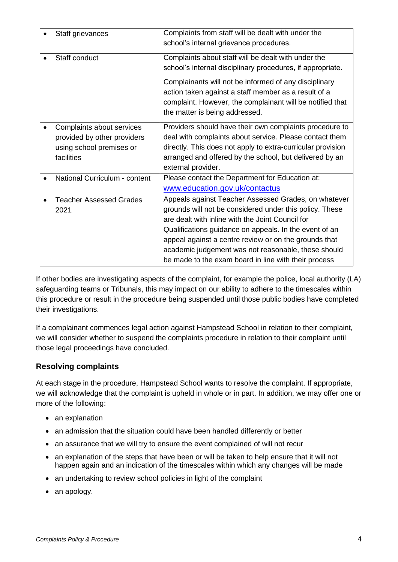| Staff grievances                                                                                   | Complaints from staff will be dealt with under the<br>school's internal grievance procedures.                                                                                                                                                                                                                                                                                                         |
|----------------------------------------------------------------------------------------------------|-------------------------------------------------------------------------------------------------------------------------------------------------------------------------------------------------------------------------------------------------------------------------------------------------------------------------------------------------------------------------------------------------------|
| Staff conduct                                                                                      | Complaints about staff will be dealt with under the<br>school's internal disciplinary procedures, if appropriate.                                                                                                                                                                                                                                                                                     |
|                                                                                                    | Complainants will not be informed of any disciplinary<br>action taken against a staff member as a result of a<br>complaint. However, the complainant will be notified that<br>the matter is being addressed.                                                                                                                                                                                          |
| Complaints about services<br>provided by other providers<br>using school premises or<br>facilities | Providers should have their own complaints procedure to<br>deal with complaints about service. Please contact them<br>directly. This does not apply to extra-curricular provision<br>arranged and offered by the school, but delivered by an<br>external provider.                                                                                                                                    |
| National Curriculum - content                                                                      | Please contact the Department for Education at:<br>www.education.gov.uk/contactus                                                                                                                                                                                                                                                                                                                     |
| <b>Teacher Assessed Grades</b><br>2021                                                             | Appeals against Teacher Assessed Grades, on whatever<br>grounds will not be considered under this policy. These<br>are dealt with inline with the Joint Council for<br>Qualifications guidance on appeals. In the event of an<br>appeal against a centre review or on the grounds that<br>academic judgement was not reasonable, these should<br>be made to the exam board in line with their process |

If other bodies are investigating aspects of the complaint, for example the police, local authority (LA) safeguarding teams or Tribunals, this may impact on our ability to adhere to the timescales within this procedure or result in the procedure being suspended until those public bodies have completed their investigations.

If a complainant commences legal action against Hampstead School in relation to their complaint, we will consider whether to suspend the complaints procedure in relation to their complaint until those legal proceedings have concluded.

### **Resolving complaints**

At each stage in the procedure, Hampstead School wants to resolve the complaint. If appropriate, we will acknowledge that the complaint is upheld in whole or in part. In addition, we may offer one or more of the following:

- an explanation
- an admission that the situation could have been handled differently or better
- an assurance that we will try to ensure the event complained of will not recur
- an explanation of the steps that have been or will be taken to help ensure that it will not happen again and an indication of the timescales within which any changes will be made
- an undertaking to review school policies in light of the complaint
- an apology.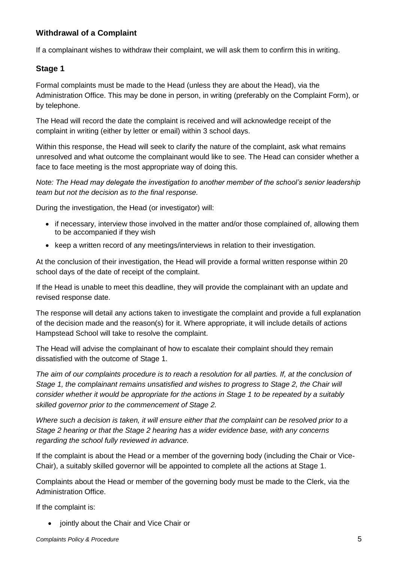### **Withdrawal of a Complaint**

If a complainant wishes to withdraw their complaint, we will ask them to confirm this in writing.

### **Stage 1**

Formal complaints must be made to the Head (unless they are about the Head), via the Administration Office. This may be done in person, in writing (preferably on the Complaint Form), or by telephone.

The Head will record the date the complaint is received and will acknowledge receipt of the complaint in writing (either by letter or email) within 3 school days.

Within this response, the Head will seek to clarify the nature of the complaint, ask what remains unresolved and what outcome the complainant would like to see. The Head can consider whether a face to face meeting is the most appropriate way of doing this.

*Note: The Head may delegate the investigation to another member of the school's senior leadership team but not the decision as to the final response.*

During the investigation, the Head (or investigator) will:

- if necessary, interview those involved in the matter and/or those complained of, allowing them to be accompanied if they wish
- keep a written record of any meetings/interviews in relation to their investigation.

At the conclusion of their investigation, the Head will provide a formal written response within 20 school days of the date of receipt of the complaint.

If the Head is unable to meet this deadline, they will provide the complainant with an update and revised response date.

The response will detail any actions taken to investigate the complaint and provide a full explanation of the decision made and the reason(s) for it. Where appropriate, it will include details of actions Hampstead School will take to resolve the complaint.

The Head will advise the complainant of how to escalate their complaint should they remain dissatisfied with the outcome of Stage 1.

*The aim of our complaints procedure is to reach a resolution for all parties. If, at the conclusion of Stage 1, the complainant remains unsatisfied and wishes to progress to Stage 2, the Chair will consider whether it would be appropriate for the actions in Stage 1 to be repeated by a suitably skilled governor prior to the commencement of Stage 2.* 

*Where such a decision is taken, it will ensure either that the complaint can be resolved prior to a Stage 2 hearing or that the Stage 2 hearing has a wider evidence base, with any concerns regarding the school fully reviewed in advance.* 

If the complaint is about the Head or a member of the governing body (including the Chair or Vice-Chair), a suitably skilled governor will be appointed to complete all the actions at Stage 1.

Complaints about the Head or member of the governing body must be made to the Clerk, via the Administration Office.

If the complaint is:

• jointly about the Chair and Vice Chair or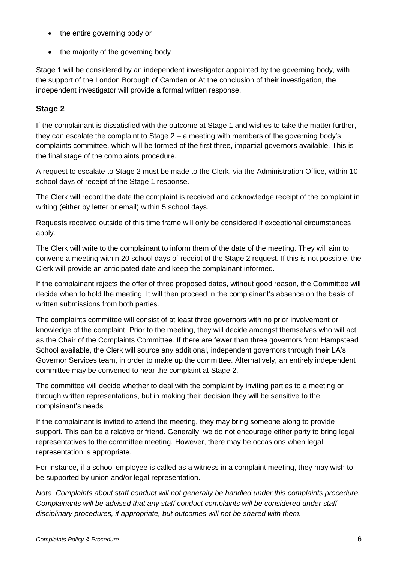- the entire governing body or
- the majority of the governing body

Stage 1 will be considered by an independent investigator appointed by the governing body, with the support of the London Borough of Camden or At the conclusion of their investigation, the independent investigator will provide a formal written response.

## **Stage 2**

If the complainant is dissatisfied with the outcome at Stage 1 and wishes to take the matter further, they can escalate the complaint to Stage 2 – a meeting with members of the governing body's complaints committee, which will be formed of the first three, impartial governors available. This is the final stage of the complaints procedure.

A request to escalate to Stage 2 must be made to the Clerk, via the Administration Office, within 10 school days of receipt of the Stage 1 response.

The Clerk will record the date the complaint is received and acknowledge receipt of the complaint in writing (either by letter or email) within 5 school days.

Requests received outside of this time frame will only be considered if exceptional circumstances apply.

The Clerk will write to the complainant to inform them of the date of the meeting. They will aim to convene a meeting within 20 school days of receipt of the Stage 2 request. If this is not possible, the Clerk will provide an anticipated date and keep the complainant informed.

If the complainant rejects the offer of three proposed dates, without good reason, the Committee will decide when to hold the meeting. It will then proceed in the complainant's absence on the basis of written submissions from both parties.

The complaints committee will consist of at least three governors with no prior involvement or knowledge of the complaint. Prior to the meeting, they will decide amongst themselves who will act as the Chair of the Complaints Committee. If there are fewer than three governors from Hampstead School available, the Clerk will source any additional, independent governors through their LA's Governor Services team, in order to make up the committee. Alternatively, an entirely independent committee may be convened to hear the complaint at Stage 2.

The committee will decide whether to deal with the complaint by inviting parties to a meeting or through written representations, but in making their decision they will be sensitive to the complainant's needs.

If the complainant is invited to attend the meeting, they may bring someone along to provide support. This can be a relative or friend. Generally, we do not encourage either party to bring legal representatives to the committee meeting. However, there may be occasions when legal representation is appropriate.

For instance, if a school employee is called as a witness in a complaint meeting, they may wish to be supported by union and/or legal representation.

*Note: Complaints about staff conduct will not generally be handled under this complaints procedure. Complainants will be advised that any staff conduct complaints will be considered under staff disciplinary procedures, if appropriate, but outcomes will not be shared with them.*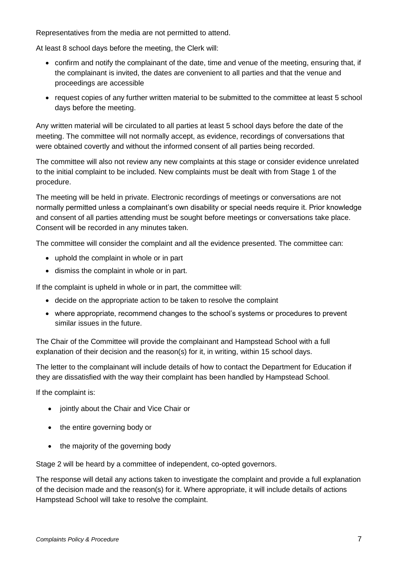Representatives from the media are not permitted to attend.

At least 8 school days before the meeting, the Clerk will:

- confirm and notify the complainant of the date, time and venue of the meeting, ensuring that, if the complainant is invited, the dates are convenient to all parties and that the venue and proceedings are accessible
- request copies of any further written material to be submitted to the committee at least 5 school days before the meeting.

Any written material will be circulated to all parties at least 5 school days before the date of the meeting. The committee will not normally accept, as evidence, recordings of conversations that were obtained covertly and without the informed consent of all parties being recorded.

The committee will also not review any new complaints at this stage or consider evidence unrelated to the initial complaint to be included. New complaints must be dealt with from Stage 1 of the procedure.

The meeting will be held in private. Electronic recordings of meetings or conversations are not normally permitted unless a complainant's own disability or special needs require it. Prior knowledge and consent of all parties attending must be sought before meetings or conversations take place. Consent will be recorded in any minutes taken.

The committee will consider the complaint and all the evidence presented. The committee can:

- uphold the complaint in whole or in part
- dismiss the complaint in whole or in part.

If the complaint is upheld in whole or in part, the committee will:

- decide on the appropriate action to be taken to resolve the complaint
- where appropriate, recommend changes to the school's systems or procedures to prevent similar issues in the future.

The Chair of the Committee will provide the complainant and Hampstead School with a full explanation of their decision and the reason(s) for it, in writing, within 15 school days.

The letter to the complainant will include details of how to contact the Department for Education if they are dissatisfied with the way their complaint has been handled by Hampstead School.

If the complaint is:

- jointly about the Chair and Vice Chair or
- the entire governing body or
- the majority of the governing body

Stage 2 will be heard by a committee of independent, co-opted governors.

The response will detail any actions taken to investigate the complaint and provide a full explanation of the decision made and the reason(s) for it. Where appropriate, it will include details of actions Hampstead School will take to resolve the complaint.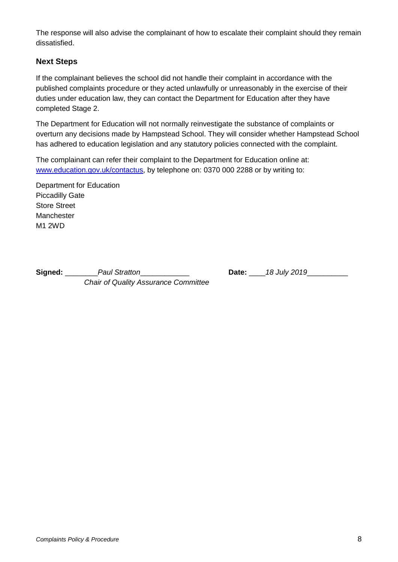The response will also advise the complainant of how to escalate their complaint should they remain dissatisfied.

### **Next Steps**

If the complainant believes the school did not handle their complaint in accordance with the published complaints procedure or they acted unlawfully or unreasonably in the exercise of their duties under education law, they can contact the Department for Education after they have completed Stage 2.

The Department for Education will not normally reinvestigate the substance of complaints or overturn any decisions made by Hampstead School. They will consider whether Hampstead School has adhered to education legislation and any statutory policies connected with the complaint.

The complainant can refer their complaint to the Department for Education online at: [www.education.gov.uk/contactus,](http://www.education.gov.uk/contactus) by telephone on: 0370 000 2288 or by writing to:

Department for Education Piccadilly Gate Store Street **Manchester** M1 2WD

**Signed:** \_\_\_\_\_\_\_\_*Paul Stratton*\_\_\_\_\_\_\_\_\_\_\_\_ **Date:** \_\_\_\_*18 July 2019*\_\_\_\_\_\_\_\_\_\_ *Chair of Quality Assurance Committee*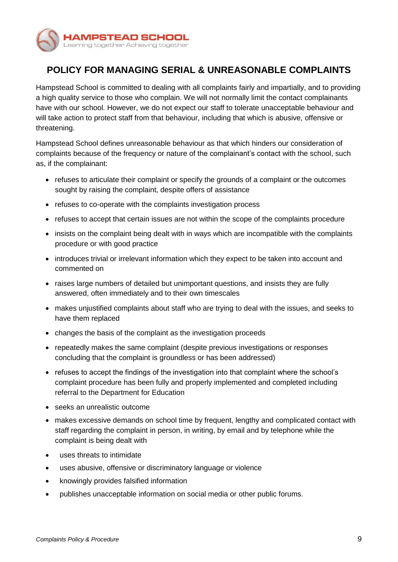

# **POLICY FOR MANAGING SERIAL & UNREASONABLE COMPLAINTS**

Hampstead School is committed to dealing with all complaints fairly and impartially, and to providing a high quality service to those who complain. We will not normally limit the contact complainants have with our school. However, we do not expect our staff to tolerate unacceptable behaviour and will take action to protect staff from that behaviour, including that which is abusive, offensive or threatening.

Hampstead School defines unreasonable behaviour as that which hinders our consideration of complaints because of the frequency or nature of the complainant's contact with the school, such as, if the complainant:

- refuses to articulate their complaint or specify the grounds of a complaint or the outcomes sought by raising the complaint, despite offers of assistance
- refuses to co-operate with the complaints investigation process
- refuses to accept that certain issues are not within the scope of the complaints procedure
- insists on the complaint being dealt with in ways which are incompatible with the complaints procedure or with good practice
- introduces trivial or irrelevant information which they expect to be taken into account and commented on
- raises large numbers of detailed but unimportant questions, and insists they are fully answered, often immediately and to their own timescales
- makes unjustified complaints about staff who are trying to deal with the issues, and seeks to have them replaced
- changes the basis of the complaint as the investigation proceeds
- repeatedly makes the same complaint (despite previous investigations or responses concluding that the complaint is groundless or has been addressed)
- refuses to accept the findings of the investigation into that complaint where the school's complaint procedure has been fully and properly implemented and completed including referral to the Department for Education
- seeks an unrealistic outcome
- makes excessive demands on school time by frequent, lengthy and complicated contact with staff regarding the complaint in person, in writing, by email and by telephone while the complaint is being dealt with
- uses threats to intimidate
- uses abusive, offensive or discriminatory language or violence
- knowingly provides falsified information
- publishes unacceptable information on social media or other public forums.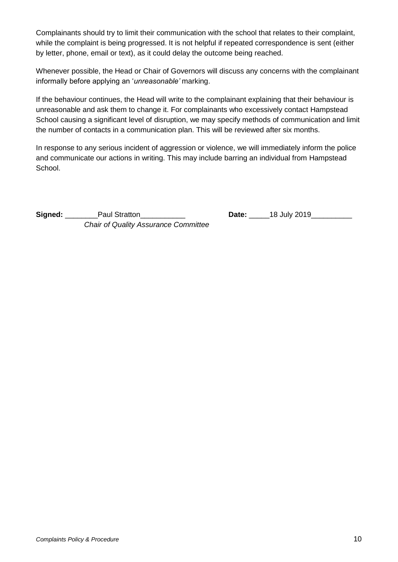Complainants should try to limit their communication with the school that relates to their complaint, while the complaint is being progressed. It is not helpful if repeated correspondence is sent (either by letter, phone, email or text), as it could delay the outcome being reached.

Whenever possible, the Head or Chair of Governors will discuss any concerns with the complainant informally before applying an '*unreasonable'* marking.

If the behaviour continues, the Head will write to the complainant explaining that their behaviour is unreasonable and ask them to change it. For complainants who excessively contact Hampstead School causing a significant level of disruption, we may specify methods of communication and limit the number of contacts in a communication plan. This will be reviewed after six months.

In response to any serious incident of aggression or violence, we will immediately inform the police and communicate our actions in writing. This may include barring an individual from Hampstead School.

**Signed:** \_\_\_\_\_\_\_\_\_\_ Paul Stratton\_\_\_\_\_\_\_\_ *Chair of Quality Assurance Committee*

| 18 July 2019<br>Date: |  |
|-----------------------|--|
|-----------------------|--|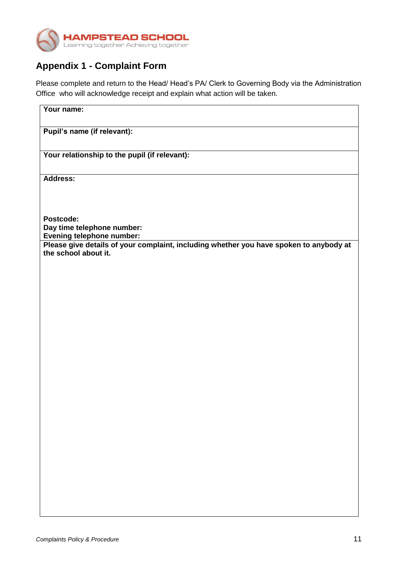

# **Appendix 1 - Complaint Form**

Please complete and return to the Head/ Head's PA/ Clerk to Governing Body via the Administration Office who will acknowledge receipt and explain what action will be taken.

| Your name:                                                                                                     |
|----------------------------------------------------------------------------------------------------------------|
| Pupil's name (if relevant):                                                                                    |
| Your relationship to the pupil (if relevant):                                                                  |
| Address:                                                                                                       |
| Postcode:                                                                                                      |
| Day time telephone number:<br>Evening telephone number:                                                        |
| Please give details of your complaint, including whether you have spoken to anybody at<br>the school about it. |
|                                                                                                                |
|                                                                                                                |
|                                                                                                                |
|                                                                                                                |
|                                                                                                                |
|                                                                                                                |
|                                                                                                                |
|                                                                                                                |
|                                                                                                                |
|                                                                                                                |
|                                                                                                                |
|                                                                                                                |
|                                                                                                                |
|                                                                                                                |
|                                                                                                                |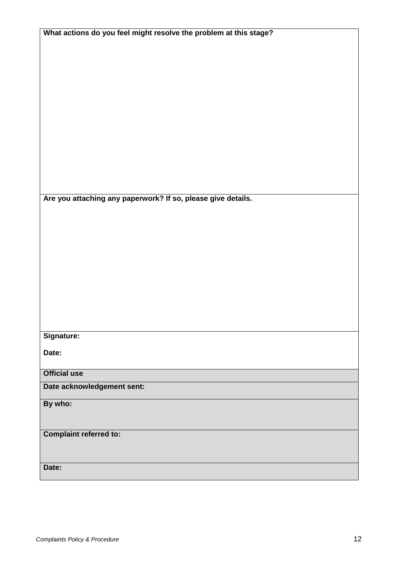| What actions do you feel might resolve the problem at this stage? |
|-------------------------------------------------------------------|
|                                                                   |
|                                                                   |
|                                                                   |
|                                                                   |
|                                                                   |
|                                                                   |
|                                                                   |
|                                                                   |
|                                                                   |
|                                                                   |
|                                                                   |
|                                                                   |
|                                                                   |
|                                                                   |
| Are you attaching any paperwork? If so, please give details.      |
|                                                                   |
|                                                                   |
|                                                                   |
|                                                                   |
|                                                                   |
|                                                                   |
|                                                                   |
|                                                                   |
|                                                                   |
|                                                                   |
|                                                                   |
| Signature:                                                        |
|                                                                   |
| Date:                                                             |
|                                                                   |
| <b>Official use</b>                                               |
| Date acknowledgement sent:                                        |
| By who:                                                           |
|                                                                   |
|                                                                   |
| <b>Complaint referred to:</b>                                     |
|                                                                   |
|                                                                   |
| Date:                                                             |
|                                                                   |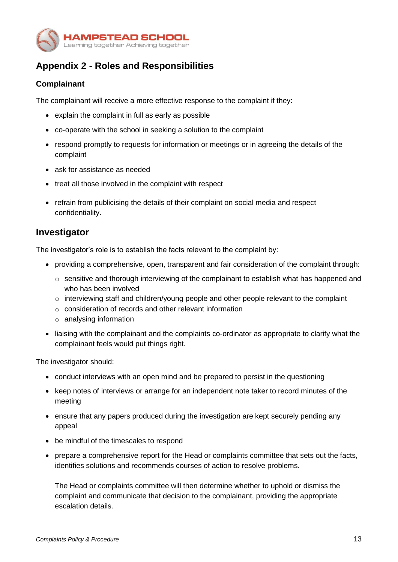

# **Appendix 2 - Roles and Responsibilities**

### **Complainant**

The complainant will receive a more effective response to the complaint if they:

- explain the complaint in full as early as possible
- co-operate with the school in seeking a solution to the complaint
- respond promptly to requests for information or meetings or in agreeing the details of the complaint
- ask for assistance as needed
- treat all those involved in the complaint with respect
- refrain from publicising the details of their complaint on social media and respect confidentiality.

### **Investigator**

The investigator's role is to establish the facts relevant to the complaint by:

- providing a comprehensive, open, transparent and fair consideration of the complaint through:
	- $\circ$  sensitive and thorough interviewing of the complainant to establish what has happened and who has been involved
	- o interviewing staff and children/young people and other people relevant to the complaint
	- o consideration of records and other relevant information
	- o analysing information
- liaising with the complainant and the complaints co-ordinator as appropriate to clarify what the complainant feels would put things right.

The investigator should:

- conduct interviews with an open mind and be prepared to persist in the questioning
- keep notes of interviews or arrange for an independent note taker to record minutes of the meeting
- ensure that any papers produced during the investigation are kept securely pending any appeal
- be mindful of the timescales to respond
- prepare a comprehensive report for the Head or complaints committee that sets out the facts, identifies solutions and recommends courses of action to resolve problems.

The Head or complaints committee will then determine whether to uphold or dismiss the complaint and communicate that decision to the complainant, providing the appropriate escalation details.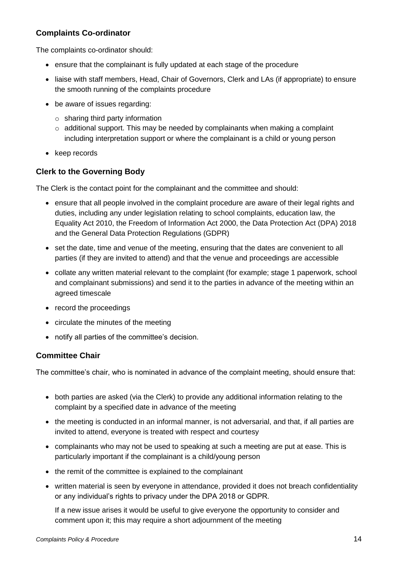### **Complaints Co-ordinator**

The complaints co-ordinator should:

- ensure that the complainant is fully updated at each stage of the procedure
- liaise with staff members, Head, Chair of Governors, Clerk and LAs (if appropriate) to ensure the smooth running of the complaints procedure
- be aware of issues regarding:
	- $\circ$  sharing third party information
	- $\circ$  additional support. This may be needed by complainants when making a complaint including interpretation support or where the complainant is a child or young person
- keep records

### **Clerk to the Governing Body**

The Clerk is the contact point for the complainant and the committee and should:

- ensure that all people involved in the complaint procedure are aware of their legal rights and duties, including any under legislation relating to school complaints, education law, the Equality Act 2010, the Freedom of Information Act 2000, the Data Protection Act (DPA) 2018 and the General Data Protection Regulations (GDPR)
- set the date, time and venue of the meeting, ensuring that the dates are convenient to all parties (if they are invited to attend) and that the venue and proceedings are accessible
- collate any written material relevant to the complaint (for example; stage 1 paperwork, school and complainant submissions) and send it to the parties in advance of the meeting within an agreed timescale
- record the proceedings
- circulate the minutes of the meeting
- notify all parties of the committee's decision.

### **Committee Chair**

The committee's chair, who is nominated in advance of the complaint meeting, should ensure that:

- both parties are asked (via the Clerk) to provide any additional information relating to the complaint by a specified date in advance of the meeting
- the meeting is conducted in an informal manner, is not adversarial, and that, if all parties are invited to attend, everyone is treated with respect and courtesy
- complainants who may not be used to speaking at such a meeting are put at ease. This is particularly important if the complainant is a child/young person
- the remit of the committee is explained to the complainant
- written material is seen by everyone in attendance, provided it does not breach confidentiality or any individual's rights to privacy under the DPA 2018 or GDPR.

If a new issue arises it would be useful to give everyone the opportunity to consider and comment upon it; this may require a short adjournment of the meeting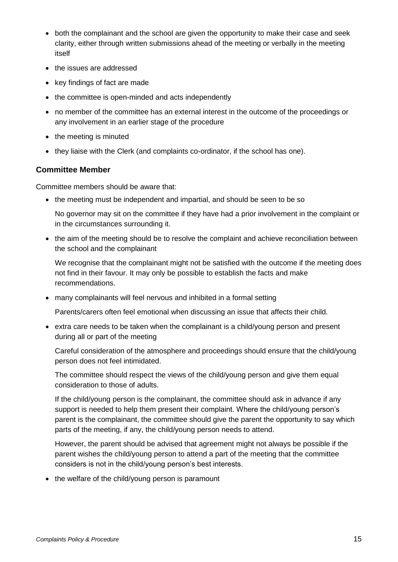- both the complainant and the school are given the opportunity to make their case and seek clarity, either through written submissions ahead of the meeting or verbally in the meeting itself
- the issues are addressed
- key findings of fact are made
- the committee is open-minded and acts independently
- no member of the committee has an external interest in the outcome of the proceedings or any involvement in an earlier stage of the procedure
- the meeting is minuted
- they liaise with the Clerk (and complaints co-ordinator, if the school has one).

### **Committee Member**

Committee members should be aware that:

• the meeting must be independent and impartial, and should be seen to be so

No governor may sit on the committee if they have had a prior involvement in the complaint or in the circumstances surrounding it.

• the aim of the meeting should be to resolve the complaint and achieve reconciliation between the school and the complainant

We recognise that the complainant might not be satisfied with the outcome if the meeting does not find in their favour. It may only be possible to establish the facts and make recommendations.

many complainants will feel nervous and inhibited in a formal setting

Parents/carers often feel emotional when discussing an issue that affects their child.

 extra care needs to be taken when the complainant is a child/young person and present during all or part of the meeting

Careful consideration of the atmosphere and proceedings should ensure that the child/young person does not feel intimidated.

The committee should respect the views of the child/young person and give them equal consideration to those of adults.

If the child/young person is the complainant, the committee should ask in advance if any support is needed to help them present their complaint. Where the child/young person's parent is the complainant, the committee should give the parent the opportunity to say which parts of the meeting, if any, the child/young person needs to attend.

However, the parent should be advised that agreement might not always be possible if the parent wishes the child/young person to attend a part of the meeting that the committee considers is not in the child/young person's best interests.

• the welfare of the child/young person is paramount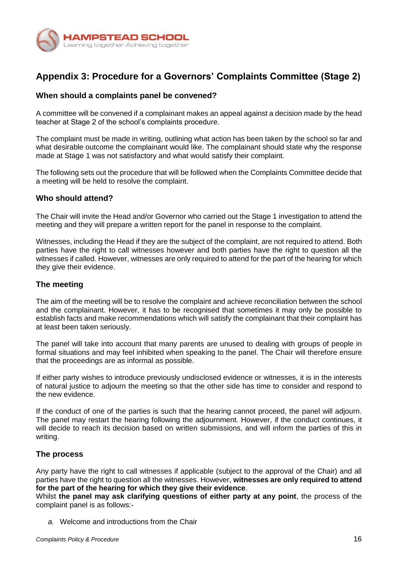

# **Appendix 3: Procedure for a Governors' Complaints Committee (Stage 2)**

#### **When should a complaints panel be convened?**

A committee will be convened if a complainant makes an appeal against a decision made by the head teacher at Stage 2 of the school's complaints procedure.

The complaint must be made in writing, outlining what action has been taken by the school so far and what desirable outcome the complainant would like. The complainant should state why the response made at Stage 1 was not satisfactory and what would satisfy their complaint.

The following sets out the procedure that will be followed when the Complaints Committee decide that a meeting will be held to resolve the complaint.

### **Who should attend?**

The Chair will invite the Head and/or Governor who carried out the Stage 1 investigation to attend the meeting and they will prepare a written report for the panel in response to the complaint.

Witnesses, including the Head if they are the subject of the complaint, are not required to attend. Both parties have the right to call witnesses however and both parties have the right to question all the witnesses if called. However, witnesses are only required to attend for the part of the hearing for which they give their evidence.

#### **The meeting**

The aim of the meeting will be to resolve the complaint and achieve reconciliation between the school and the complainant. However, it has to be recognised that sometimes it may only be possible to establish facts and make recommendations which will satisfy the complainant that their complaint has at least been taken seriously.

The panel will take into account that many parents are unused to dealing with groups of people in formal situations and may feel inhibited when speaking to the panel. The Chair will therefore ensure that the proceedings are as informal as possible.

If either party wishes to introduce previously undisclosed evidence or witnesses, it is in the interests of natural justice to adjourn the meeting so that the other side has time to consider and respond to the new evidence.

If the conduct of one of the parties is such that the hearing cannot proceed, the panel will adjourn. The panel may restart the hearing following the adjournment. However, if the conduct continues, it will decide to reach its decision based on written submissions, and will inform the parties of this in writing.

#### **The process**

Any party have the right to call witnesses if applicable (subject to the approval of the Chair) and all parties have the right to question all the witnesses. However, **witnesses are only required to attend for the part of the hearing for which they give their evidence**.

Whilst **the panel may ask clarifying questions of either party at any point**, the process of the complaint panel is as follows:-

*a.* Welcome and introductions from the Chair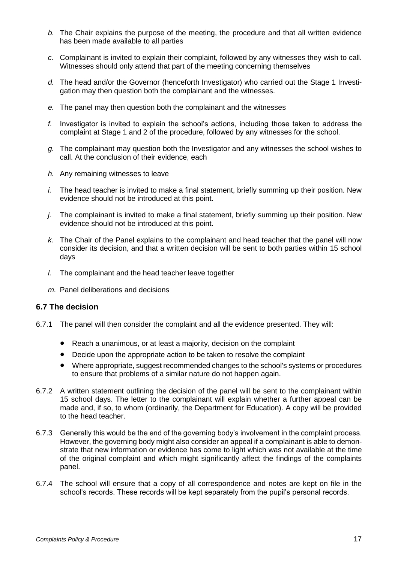- *b.* The Chair explains the purpose of the meeting, the procedure and that all written evidence has been made available to all parties
- *c.* Complainant is invited to explain their complaint, followed by any witnesses they wish to call. Witnesses should only attend that part of the meeting concerning themselves
- *d.* The head and/or the Governor (henceforth Investigator) who carried out the Stage 1 Investigation may then question both the complainant and the witnesses.
- *e.* The panel may then question both the complainant and the witnesses
- *f.* Investigator is invited to explain the school's actions, including those taken to address the complaint at Stage 1 and 2 of the procedure, followed by any witnesses for the school.
- *g.* The complainant may question both the Investigator and any witnesses the school wishes to call. At the conclusion of their evidence, each
- *h.* Any remaining witnesses to leave
- *i.* The head teacher is invited to make a final statement, briefly summing up their position. New evidence should not be introduced at this point.
- *j.* The complainant is invited to make a final statement, briefly summing up their position. New evidence should not be introduced at this point.
- *k.* The Chair of the Panel explains to the complainant and head teacher that the panel will now consider its decision, and that a written decision will be sent to both parties within 15 school days
- *l.* The complainant and the head teacher leave together
- *m.* Panel deliberations and decisions

#### **6.7 The decision**

- 6.7.1 The panel will then consider the complaint and all the evidence presented. They will:
	- Reach a unanimous, or at least a majority, decision on the complaint
	- Decide upon the appropriate action to be taken to resolve the complaint
	- Where appropriate, suggest recommended changes to the school's systems or procedures to ensure that problems of a similar nature do not happen again.
- 6.7.2 A written statement outlining the decision of the panel will be sent to the complainant within 15 school days. The letter to the complainant will explain whether a further appeal can be made and, if so, to whom (ordinarily, the Department for Education). A copy will be provided to the head teacher.
- 6.7.3 Generally this would be the end of the governing body's involvement in the complaint process. However, the governing body might also consider an appeal if a complainant is able to demonstrate that new information or evidence has come to light which was not available at the time of the original complaint and which might significantly affect the findings of the complaints panel.
- 6.7.4 The school will ensure that a copy of all correspondence and notes are kept on file in the school's records. These records will be kept separately from the pupil's personal records.